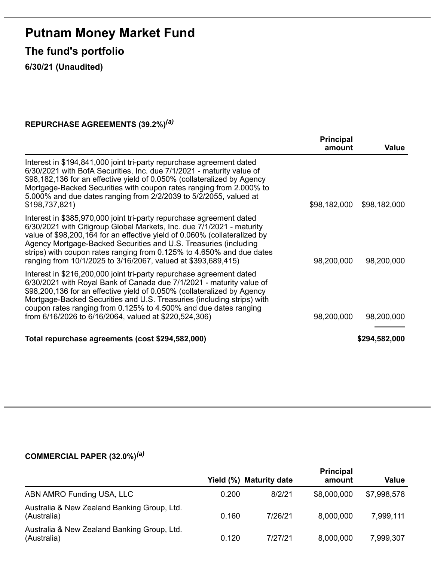# **Putnam Money Market Fund**

**The fund's portfolio**

**6/30/21 (Unaudited)**

#### **REPURCHASE AGREEMENTS (39.2%)** *(a)*

|                                                                                                                                                                                                                                                                                                                                                                                                                                          | <b>Principal</b><br>amount | Value         |
|------------------------------------------------------------------------------------------------------------------------------------------------------------------------------------------------------------------------------------------------------------------------------------------------------------------------------------------------------------------------------------------------------------------------------------------|----------------------------|---------------|
| Interest in \$194,841,000 joint tri-party repurchase agreement dated<br>6/30/2021 with BofA Securities, Inc. due 7/1/2021 - maturity value of<br>\$98,182,136 for an effective yield of 0.050% (collateralized by Agency<br>Mortgage-Backed Securities with coupon rates ranging from 2.000% to<br>5.000% and due dates ranging from 2/2/2039 to 5/2/2055, valued at<br>\$198,737,821)                                                   | \$98,182,000               | \$98,182,000  |
| Interest in \$385,970,000 joint tri-party repurchase agreement dated<br>6/30/2021 with Citigroup Global Markets, Inc. due 7/1/2021 - maturity<br>value of \$98,200,164 for an effective yield of 0.060% (collateralized by<br>Agency Mortgage-Backed Securities and U.S. Treasuries (including<br>strips) with coupon rates ranging from 0.125% to 4.650% and due dates<br>ranging from 10/1/2025 to 3/16/2067, valued at \$393,689,415) | 98,200,000                 | 98,200,000    |
| Interest in \$216,200,000 joint tri-party repurchase agreement dated<br>6/30/2021 with Royal Bank of Canada due 7/1/2021 - maturity value of<br>\$98,200,136 for an effective yield of 0.050% (collateralized by Agency<br>Mortgage-Backed Securities and U.S. Treasuries (including strips) with<br>coupon rates ranging from 0.125% to 4.500% and due dates ranging<br>from 6/16/2026 to 6/16/2064, valued at \$220,524,306)           | 98,200,000                 | 98,200,000    |
| Total repurchase agreements (cost \$294,582,000)                                                                                                                                                                                                                                                                                                                                                                                         |                            | \$294,582,000 |

#### **COMMERCIAL PAPER (32.0%)** *(a)*

|                                                            | Yield $(\%)$ | <b>Maturity date</b> | <b>Principal</b><br>amount | <b>Value</b> |
|------------------------------------------------------------|--------------|----------------------|----------------------------|--------------|
| ABN AMRO Funding USA, LLC                                  | 0.200        | 8/2/21               | \$8,000,000                | \$7,998,578  |
| Australia & New Zealand Banking Group, Ltd.<br>(Australia) | 0.160        | 7/26/21              | 8,000,000                  | 7,999,111    |
| Australia & New Zealand Banking Group, Ltd.<br>(Australia) | 0.120        | 7/27/21              | 8,000,000                  | 7,999,307    |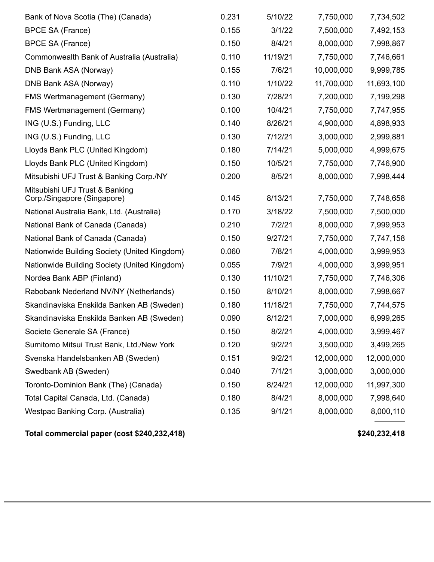| Bank of Nova Scotia (The) (Canada)                            | 0.231 | 5/10/22  | 7,750,000  | 7,734,502  |
|---------------------------------------------------------------|-------|----------|------------|------------|
| <b>BPCE SA (France)</b>                                       | 0.155 | 3/1/22   | 7,500,000  | 7,492,153  |
| <b>BPCE SA (France)</b>                                       | 0.150 | 8/4/21   | 8,000,000  | 7,998,867  |
| Commonwealth Bank of Australia (Australia)                    | 0.110 | 11/19/21 | 7,750,000  | 7,746,661  |
| DNB Bank ASA (Norway)                                         | 0.155 | 7/6/21   | 10,000,000 | 9,999,785  |
| DNB Bank ASA (Norway)                                         | 0.110 | 1/10/22  | 11,700,000 | 11,693,100 |
| FMS Wertmanagement (Germany)                                  | 0.130 | 7/28/21  | 7,200,000  | 7,199,298  |
| <b>FMS Wertmanagement (Germany)</b>                           | 0.100 | 10/4/21  | 7,750,000  | 7,747,955  |
| ING (U.S.) Funding, LLC                                       | 0.140 | 8/26/21  | 4,900,000  | 4,898,933  |
| ING (U.S.) Funding, LLC                                       | 0.130 | 7/12/21  | 3,000,000  | 2,999,881  |
| Lloyds Bank PLC (United Kingdom)                              | 0.180 | 7/14/21  | 5,000,000  | 4,999,675  |
| Lloyds Bank PLC (United Kingdom)                              | 0.150 | 10/5/21  | 7,750,000  | 7,746,900  |
| Mitsubishi UFJ Trust & Banking Corp./NY                       | 0.200 | 8/5/21   | 8,000,000  | 7,998,444  |
| Mitsubishi UFJ Trust & Banking<br>Corp./Singapore (Singapore) | 0.145 | 8/13/21  | 7,750,000  | 7,748,658  |
| National Australia Bank, Ltd. (Australia)                     | 0.170 | 3/18/22  | 7,500,000  | 7,500,000  |
| National Bank of Canada (Canada)                              | 0.210 | 7/2/21   | 8,000,000  | 7,999,953  |
| National Bank of Canada (Canada)                              | 0.150 | 9/27/21  | 7,750,000  | 7,747,158  |
| Nationwide Building Society (United Kingdom)                  | 0.060 | 7/8/21   | 4,000,000  | 3,999,953  |
| Nationwide Building Society (United Kingdom)                  | 0.055 | 7/9/21   | 4,000,000  | 3,999,951  |
| Nordea Bank ABP (Finland)                                     | 0.130 | 11/10/21 | 7,750,000  | 7,746,306  |
| Rabobank Nederland NV/NY (Netherlands)                        | 0.150 | 8/10/21  | 8,000,000  | 7,998,667  |
| Skandinaviska Enskilda Banken AB (Sweden)                     | 0.180 | 11/18/21 | 7,750,000  | 7,744,575  |
| Skandinaviska Enskilda Banken AB (Sweden)                     | 0.090 | 8/12/21  | 7,000,000  | 6,999,265  |
| Societe Generale SA (France)                                  | 0.150 | 8/2/21   | 4,000,000  | 3,999,467  |
| Sumitomo Mitsui Trust Bank, Ltd./New York                     | 0.120 | 9/2/21   | 3,500,000  | 3,499,265  |
| Svenska Handelsbanken AB (Sweden)                             | 0.151 | 9/2/21   | 12,000,000 | 12,000,000 |
| Swedbank AB (Sweden)                                          | 0.040 | 7/1/21   | 3,000,000  | 3,000,000  |
| Toronto-Dominion Bank (The) (Canada)                          | 0.150 | 8/24/21  | 12,000,000 | 11,997,300 |
| Total Capital Canada, Ltd. (Canada)                           | 0.180 | 8/4/21   | 8,000,000  | 7,998,640  |
| Westpac Banking Corp. (Australia)                             | 0.135 | 9/1/21   | 8,000,000  | 8,000,110  |

**Total commercial paper (cost \$240,232,418) \$240,232,418**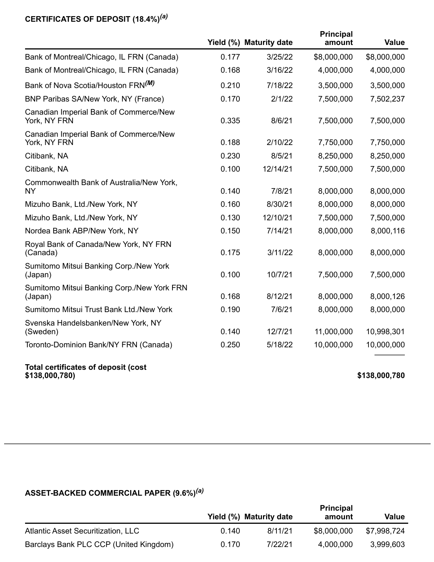#### **CERTIFICATES OF DEPOSIT (18.4%)** *(a)*

|                                                              |       | Yield (%) Maturity date | <b>Principal</b><br>amount | <b>Value</b>  |
|--------------------------------------------------------------|-------|-------------------------|----------------------------|---------------|
| Bank of Montreal/Chicago, IL FRN (Canada)                    | 0.177 | 3/25/22                 | \$8,000,000                | \$8,000,000   |
| Bank of Montreal/Chicago, IL FRN (Canada)                    | 0.168 | 3/16/22                 | 4,000,000                  | 4,000,000     |
| Bank of Nova Scotia/Houston FRN <sup>(M)</sup>               | 0.210 | 7/18/22                 | 3,500,000                  | 3,500,000     |
| BNP Paribas SA/New York, NY (France)                         | 0.170 | 2/1/22                  | 7,500,000                  | 7,502,237     |
| Canadian Imperial Bank of Commerce/New<br>York, NY FRN       | 0.335 | 8/6/21                  | 7,500,000                  | 7,500,000     |
| Canadian Imperial Bank of Commerce/New<br>York, NY FRN       | 0.188 | 2/10/22                 | 7,750,000                  | 7,750,000     |
| Citibank, NA                                                 | 0.230 | 8/5/21                  | 8,250,000                  | 8,250,000     |
| Citibank, NA                                                 | 0.100 | 12/14/21                | 7,500,000                  | 7,500,000     |
| Commonwealth Bank of Australia/New York,<br><b>NY</b>        | 0.140 | 7/8/21                  | 8,000,000                  | 8,000,000     |
| Mizuho Bank, Ltd./New York, NY                               | 0.160 | 8/30/21                 | 8,000,000                  | 8,000,000     |
| Mizuho Bank, Ltd./New York, NY                               | 0.130 | 12/10/21                | 7,500,000                  | 7,500,000     |
| Nordea Bank ABP/New York, NY                                 | 0.150 | 7/14/21                 | 8,000,000                  | 8,000,116     |
| Royal Bank of Canada/New York, NY FRN<br>(Canada)            | 0.175 | 3/11/22                 | 8,000,000                  | 8,000,000     |
| Sumitomo Mitsui Banking Corp./New York<br>(Japan)            | 0.100 | 10/7/21                 | 7,500,000                  | 7,500,000     |
| Sumitomo Mitsui Banking Corp./New York FRN<br>(Japan)        | 0.168 | 8/12/21                 | 8,000,000                  | 8,000,126     |
| Sumitomo Mitsui Trust Bank Ltd./New York                     | 0.190 | 7/6/21                  | 8,000,000                  | 8,000,000     |
| Svenska Handelsbanken/New York, NY<br>(Sweden)               | 0.140 | 12/7/21                 | 11,000,000                 | 10,998,301    |
| Toronto-Dominion Bank/NY FRN (Canada)                        | 0.250 | 5/18/22                 | 10,000,000                 | 10,000,000    |
| <b>Total certificates of deposit (cost</b><br>\$138,000,780) |       |                         |                            | \$138,000,780 |

#### **ASSET-BACKED COMMERCIAL PAPER (9.6%)** *(a)*

|                                        | Yield (%) Maturity date |         | <b>Principal</b><br>amount | Value       |
|----------------------------------------|-------------------------|---------|----------------------------|-------------|
| Atlantic Asset Securitization, LLC     | 0.140                   | 8/11/21 | \$8,000,000                | \$7.998.724 |
| Barclays Bank PLC CCP (United Kingdom) | 0.170                   | 7/22/21 | 4,000,000                  | 3,999,603   |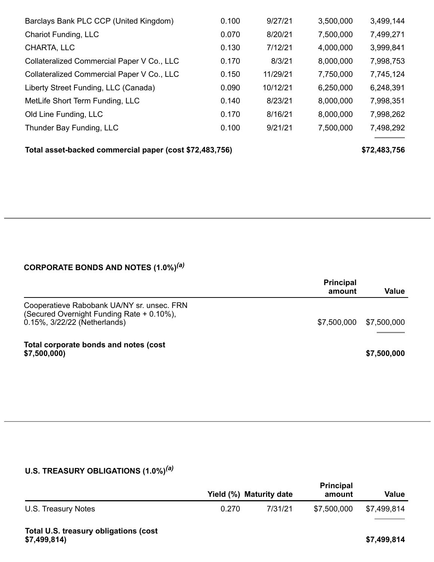| Barclays Bank PLC CCP (United Kingdom)     | 0.100 | 9/27/21  | 3,500,000 | 3,499,144 |
|--------------------------------------------|-------|----------|-----------|-----------|
| Chariot Funding, LLC                       | 0.070 | 8/20/21  | 7,500,000 | 7,499,271 |
| CHARTA, LLC                                | 0.130 | 7/12/21  | 4,000,000 | 3,999,841 |
| Collateralized Commercial Paper V Co., LLC | 0.170 | 8/3/21   | 8,000,000 | 7,998,753 |
| Collateralized Commercial Paper V Co., LLC | 0.150 | 11/29/21 | 7,750,000 | 7,745,124 |
| Liberty Street Funding, LLC (Canada)       | 0.090 | 10/12/21 | 6,250,000 | 6,248,391 |
| MetLife Short Term Funding, LLC            | 0.140 | 8/23/21  | 8,000,000 | 7,998,351 |
| Old Line Funding, LLC                      | 0.170 | 8/16/21  | 8,000,000 | 7,998,262 |
| Thunder Bay Funding, LLC                   | 0.100 | 9/21/21  | 7,500,000 | 7,498,292 |

**Total asset-backed commercial paper (cost \$72,483,756) \$72,483,756**

#### **CORPORATE BONDS AND NOTES (1.0%)** *(a)*

|                                                                                                                         | <b>Principal</b><br>amount | Value       |
|-------------------------------------------------------------------------------------------------------------------------|----------------------------|-------------|
| Cooperatieve Rabobank UA/NY sr. unsec. FRN<br>(Secured Overnight Funding Rate + 0.10%),<br>0.15%, 3/22/22 (Netherlands) | \$7,500,000                | \$7,500,000 |
| Total corporate bonds and notes (cost<br>\$7,500,000)                                                                   |                            | \$7,500,000 |

### **U.S. TREASURY OBLIGATIONS (1.0%)** *(a)*

|                                                       | Yield (%) Maturity date |         | <b>Principal</b><br>amount | <b>Value</b> |
|-------------------------------------------------------|-------------------------|---------|----------------------------|--------------|
| U.S. Treasury Notes                                   | 0.270                   | 7/31/21 | \$7,500,000                | \$7,499,814  |
| Total U.S. treasury obligations (cost<br>\$7,499,814) |                         |         |                            | \$7,499,814  |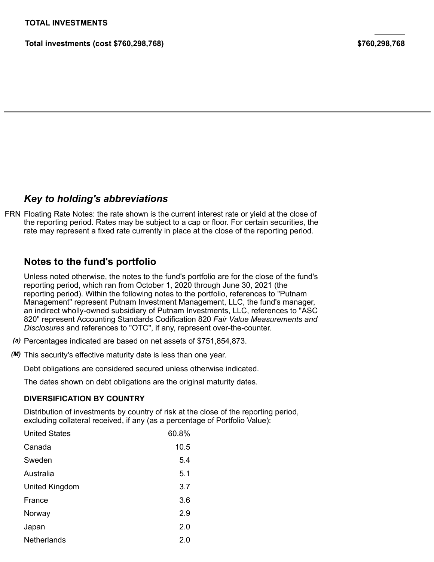**Total investments (cost \$760,298,768) \$760,298,768**

## *Key to holding's abbreviations*

FRN Floating Rate Notes: the rate shown is the current interest rate or yield at the close of the reporting period. Rates may be subject to a cap or floor. For certain securities, the rate may represent a fixed rate currently in place at the close of the reporting period.

## **Notes to the fund's portfolio**

Unless noted otherwise, the notes to the fund's portfolio are for the close of the fund's reporting period, which ran from October 1, 2020 through June 30, 2021 (the reporting period). Within the following notes to the portfolio, references to "Putnam Management" represent Putnam Investment Management, LLC, the fund's manager, an indirect wholly-owned subsidiary of Putnam Investments, LLC, references to "ASC 820" represent Accounting Standards Codification 820 *Fair Value Measurements and Disclosures* and references to "OTC", if any, represent over-the-counter.

- *(a)* Percentages indicated are based on net assets of \$751,854,873.
- *(M)* This security's effective maturity date is less than one year.

Debt obligations are considered secured unless otherwise indicated.

The dates shown on debt obligations are the original maturity dates.

#### **DIVERSIFICATION BY COUNTRY**

Distribution of investments by country of risk at the close of the reporting period, excluding collateral received, if any (as a percentage of Portfolio Value):

| <b>United States</b> | 60.8% |
|----------------------|-------|
| Canada               | 10.5  |
| Sweden               | 5.4   |
| Australia            | 5.1   |
| United Kingdom       | 3.7   |
| France               | 3.6   |
| Norway               | 2.9   |
| Japan                | 2.0   |
| Netherlands          | 2.0   |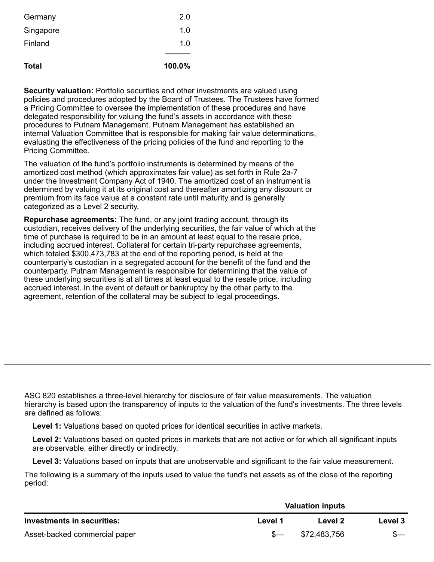| Total     | 100.0% |
|-----------|--------|
|           |        |
| Finland   | 1.0    |
| Singapore | 1.0    |
| Germany   | 2.0    |

**Security valuation:** Portfolio securities and other investments are valued using policies and procedures adopted by the Board of Trustees. The Trustees have formed a Pricing Committee to oversee the implementation of these procedures and have delegated responsibility for valuing the fund's assets in accordance with these procedures to Putnam Management. Putnam Management has established an internal Valuation Committee that is responsible for making fair value determinations, evaluating the effectiveness of the pricing policies of the fund and reporting to the Pricing Committee.

The valuation of the fund's portfolio instruments is determined by means of the amortized cost method (which approximates fair value) as set forth in Rule 2a-7 under the Investment Company Act of 1940. The amortized cost of an instrument is determined by valuing it at its original cost and thereafter amortizing any discount or premium from its face value at a constant rate until maturity and is generally categorized as a Level 2 security.

**Repurchase agreements:** The fund, or any joint trading account, through its custodian, receives delivery of the underlying securities, the fair value of which at the time of purchase is required to be in an amount at least equal to the resale price, including accrued interest. Collateral for certain tri-party repurchase agreements, which totaled \$300,473,783 at the end of the reporting period, is held at the counterparty's custodian in a segregated account for the benefit of the fund and the counterparty. Putnam Management is responsible for determining that the value of these underlying securities is at all times at least equal to the resale price, including accrued interest. In the event of default or bankruptcy by the other party to the agreement, retention of the collateral may be subject to legal proceedings.

ASC 820 establishes a three-level hierarchy for disclosure of fair value measurements. The valuation hierarchy is based upon the transparency of inputs to the valuation of the fund's investments. The three levels are defined as follows:

**Level 1:** Valuations based on quoted prices for identical securities in active markets.

**Level 2:** Valuations based on quoted prices in markets that are not active or for which all significant inputs are observable, either directly or indirectly.

**Level 3:** Valuations based on inputs that are unobservable and significant to the fair value measurement.

The following is a summary of the inputs used to value the fund's net assets as of the close of the reporting period:

|                               | <b>Valuation inputs</b> |              |         |
|-------------------------------|-------------------------|--------------|---------|
| Investments in securities:    | Level 1                 | Level 2      | Level 3 |
| Asset-backed commercial paper |                         | \$72,483,756 |         |